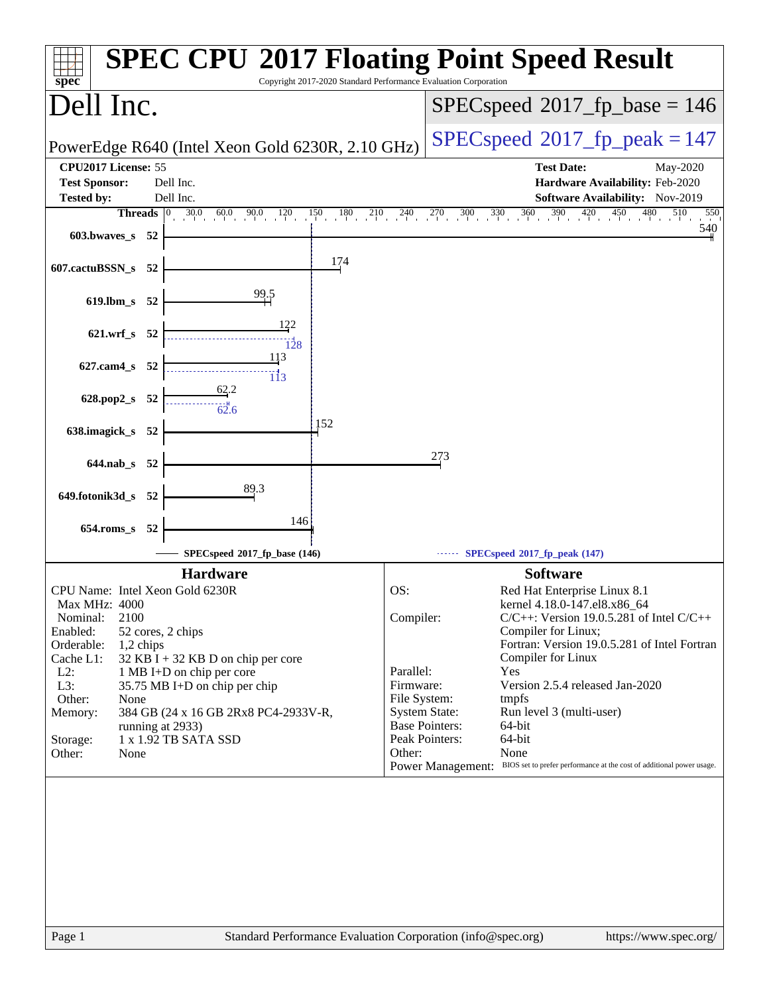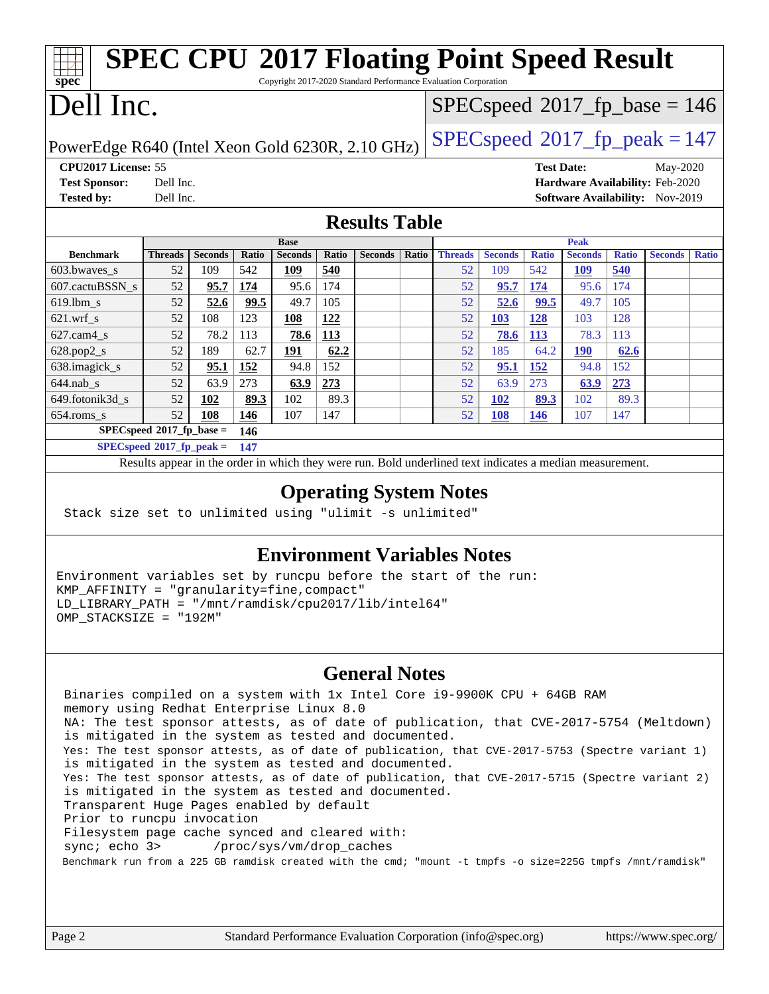| <b>SPEC CPU®2017 Floating Point Speed Result</b><br>spec<br>Copyright 2017-2020 Standard Performance Evaluation Corporation |                                                     |                |       |                |       |                |                                          |                |                |                   |                |              |                |              |
|-----------------------------------------------------------------------------------------------------------------------------|-----------------------------------------------------|----------------|-------|----------------|-------|----------------|------------------------------------------|----------------|----------------|-------------------|----------------|--------------|----------------|--------------|
| Dell Inc.                                                                                                                   |                                                     |                |       |                |       |                | $SPEC speed^{\circ}2017\_fp\_base = 146$ |                |                |                   |                |              |                |              |
| PowerEdge R640 (Intel Xeon Gold 6230R, 2.10 GHz)                                                                            |                                                     |                |       |                |       |                | $SPEC speed^{\circ}2017$ _fp_peak = 147  |                |                |                   |                |              |                |              |
| CPU2017 License: 55                                                                                                         |                                                     |                |       |                |       |                |                                          |                |                | <b>Test Date:</b> |                |              | May-2020       |              |
| <b>Test Sponsor:</b><br>Hardware Availability: Feb-2020<br>Dell Inc.                                                        |                                                     |                |       |                |       |                |                                          |                |                |                   |                |              |                |              |
| <b>Tested by:</b>                                                                                                           | Dell Inc.<br><b>Software Availability:</b> Nov-2019 |                |       |                |       |                |                                          |                |                |                   |                |              |                |              |
| <b>Results Table</b>                                                                                                        |                                                     |                |       |                |       |                |                                          |                |                |                   |                |              |                |              |
|                                                                                                                             |                                                     |                |       | <b>Base</b>    |       |                |                                          | Peak           |                |                   |                |              |                |              |
| <b>Benchmark</b>                                                                                                            | <b>Threads</b>                                      | <b>Seconds</b> | Ratio | <b>Seconds</b> | Ratio | <b>Seconds</b> | <b>Ratio</b>                             | <b>Threads</b> | <b>Seconds</b> | <b>Ratio</b>      | <b>Seconds</b> | <b>Ratio</b> | <b>Seconds</b> | <b>Ratio</b> |
| 603.bwayes s                                                                                                                | 52                                                  | 109            | 542   | 109            | 540   |                |                                          | 52             | 109            | 542               | <b>109</b>     | 540          |                |              |
| 607.cactuBSSN s                                                                                                             | 52                                                  | 95.7           | 174   | 95.6           | 174   |                |                                          | 52             | 95.7           | 174               | 95.6           | 174          |                |              |
| $619.1$ bm s                                                                                                                | 52                                                  | 52.6           | 99.5  | 49.7           | 105   |                |                                          | 52             | 52.6           | 99.5              | 49.7           | 105          |                |              |
| $621$ .wrf s                                                                                                                | 52                                                  | 108            | 123   | 108            | 122   |                |                                          | 52             | 103            | 128               | 103            | 128          |                |              |
| $627$ .cam $4 \text{ s}$                                                                                                    | 52                                                  | 78.2           | 113   | 78.6           | 113   |                |                                          | 52             | 78.6           | 113               | 78.3           | 113          |                |              |
| 628.pop2_s                                                                                                                  | 52                                                  | 189            | 62.7  | 191            | 62.2  |                |                                          | 52             | 185            | 64.2              | <b>190</b>     | 62.6         |                |              |
| 638.imagick s                                                                                                               | 52                                                  | 95.1           | 152   | 94.8           | 152   |                |                                          | 52             | 95.1           | 152               | 94.8           | 152          |                |              |
| $644$ .nab s                                                                                                                | 52                                                  | 63.9           | 273   | 63.9           | 273   |                |                                          | 52             | 63.9           | 273               | 63.9           | 273          |                |              |
| 649.fotonik3d s                                                                                                             | 52                                                  | 102            | 89.3  | 102            | 89.3  |                |                                          | 52             | 102            | 89.3              | 102            | 89.3         |                |              |
| 654.roms_s                                                                                                                  | 52                                                  | 108            | 146   | 107            | 147   |                |                                          | 52             | 108            | <b>146</b>        | 107            | 147          |                |              |
| $SPECspeed*2017_fp\_base =$                                                                                                 |                                                     |                | 146   |                |       |                |                                          |                |                |                   |                |              |                |              |
| $SPECspeed*2017$ fp peak =                                                                                                  |                                                     |                | 147   |                |       |                |                                          |                |                |                   |                |              |                |              |

Results appear in the [order in which they were run.](http://www.spec.org/auto/cpu2017/Docs/result-fields.html#RunOrder) Bold underlined text [indicates a median measurement.](http://www.spec.org/auto/cpu2017/Docs/result-fields.html#Median)

### **[Operating System Notes](http://www.spec.org/auto/cpu2017/Docs/result-fields.html#OperatingSystemNotes)**

Stack size set to unlimited using "ulimit -s unlimited"

## **[Environment Variables Notes](http://www.spec.org/auto/cpu2017/Docs/result-fields.html#EnvironmentVariablesNotes)**

Environment variables set by runcpu before the start of the run: KMP\_AFFINITY = "granularity=fine,compact" LD\_LIBRARY\_PATH = "/mnt/ramdisk/cpu2017/lib/intel64" OMP\_STACKSIZE = "192M"

## **[General Notes](http://www.spec.org/auto/cpu2017/Docs/result-fields.html#GeneralNotes)**

 Binaries compiled on a system with 1x Intel Core i9-9900K CPU + 64GB RAM memory using Redhat Enterprise Linux 8.0 NA: The test sponsor attests, as of date of publication, that CVE-2017-5754 (Meltdown) is mitigated in the system as tested and documented. Yes: The test sponsor attests, as of date of publication, that CVE-2017-5753 (Spectre variant 1) is mitigated in the system as tested and documented. Yes: The test sponsor attests, as of date of publication, that CVE-2017-5715 (Spectre variant 2) is mitigated in the system as tested and documented. Transparent Huge Pages enabled by default Prior to runcpu invocation Filesystem page cache synced and cleared with: sync; echo 3> /proc/sys/vm/drop\_caches Benchmark run from a 225 GB ramdisk created with the cmd; "mount -t tmpfs -o size=225G tmpfs /mnt/ramdisk"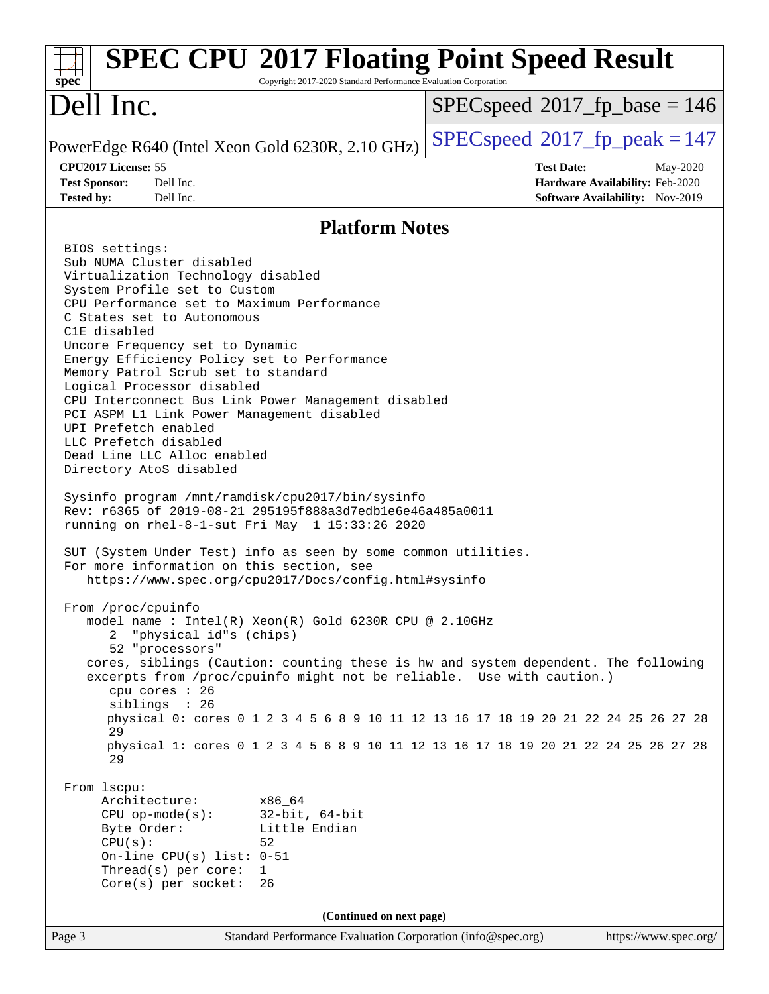#### Page 3 Standard Performance Evaluation Corporation [\(info@spec.org\)](mailto:info@spec.org) <https://www.spec.org/> **[spec](http://www.spec.org/) [SPEC CPU](http://www.spec.org/auto/cpu2017/Docs/result-fields.html#SPECCPU2017FloatingPointSpeedResult)[2017 Floating Point Speed Result](http://www.spec.org/auto/cpu2017/Docs/result-fields.html#SPECCPU2017FloatingPointSpeedResult)** Copyright 2017-2020 Standard Performance Evaluation Corporation Dell Inc. PowerEdge R640 (Intel Xeon Gold 6230R, 2.10 GHz)  $\left|$  [SPECspeed](http://www.spec.org/auto/cpu2017/Docs/result-fields.html#SPECspeed2017fppeak)<sup>®</sup>[2017\\_fp\\_peak = 1](http://www.spec.org/auto/cpu2017/Docs/result-fields.html#SPECspeed2017fppeak)47 [SPECspeed](http://www.spec.org/auto/cpu2017/Docs/result-fields.html#SPECspeed2017fpbase)<sup>®</sup>2017 fp base = 146 **[CPU2017 License:](http://www.spec.org/auto/cpu2017/Docs/result-fields.html#CPU2017License)** 55 **[Test Date:](http://www.spec.org/auto/cpu2017/Docs/result-fields.html#TestDate)** May-2020 **[Test Sponsor:](http://www.spec.org/auto/cpu2017/Docs/result-fields.html#TestSponsor)** Dell Inc. **[Hardware Availability:](http://www.spec.org/auto/cpu2017/Docs/result-fields.html#HardwareAvailability)** Feb-2020 **[Tested by:](http://www.spec.org/auto/cpu2017/Docs/result-fields.html#Testedby)** Dell Inc. **[Software Availability:](http://www.spec.org/auto/cpu2017/Docs/result-fields.html#SoftwareAvailability)** Nov-2019 **[Platform Notes](http://www.spec.org/auto/cpu2017/Docs/result-fields.html#PlatformNotes)** BIOS settings: Sub NUMA Cluster disabled Virtualization Technology disabled System Profile set to Custom CPU Performance set to Maximum Performance C States set to Autonomous C1E disabled Uncore Frequency set to Dynamic Energy Efficiency Policy set to Performance Memory Patrol Scrub set to standard Logical Processor disabled CPU Interconnect Bus Link Power Management disabled PCI ASPM L1 Link Power Management disabled UPI Prefetch enabled LLC Prefetch disabled Dead Line LLC Alloc enabled Directory AtoS disabled Sysinfo program /mnt/ramdisk/cpu2017/bin/sysinfo Rev: r6365 of 2019-08-21 295195f888a3d7edb1e6e46a485a0011 running on rhel-8-1-sut Fri May 1 15:33:26 2020 SUT (System Under Test) info as seen by some common utilities. For more information on this section, see <https://www.spec.org/cpu2017/Docs/config.html#sysinfo> From /proc/cpuinfo model name : Intel(R) Xeon(R) Gold 6230R CPU @ 2.10GHz 2 "physical id"s (chips) 52 "processors" cores, siblings (Caution: counting these is hw and system dependent. The following excerpts from /proc/cpuinfo might not be reliable. Use with caution.) cpu cores : 26 siblings : 26 physical 0: cores 0 1 2 3 4 5 6 8 9 10 11 12 13 16 17 18 19 20 21 22 24 25 26 27 28 29 physical 1: cores 0 1 2 3 4 5 6 8 9 10 11 12 13 16 17 18 19 20 21 22 24 25 26 27 28 29 From lscpu: Architecture: x86\_64 CPU op-mode(s): 32-bit, 64-bit Byte Order: Little Endian  $CPU(s):$  52 On-line CPU(s) list: 0-51 Thread(s) per core: 1 Core(s) per socket: 26 **(Continued on next page)**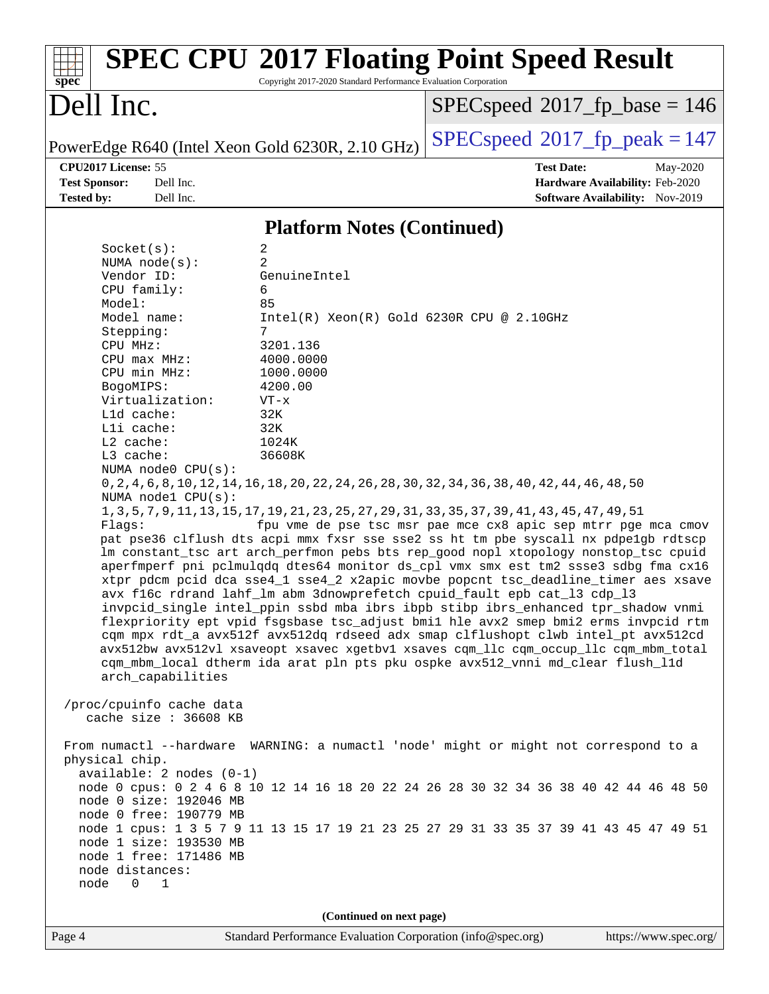| $spec^*$                                         | Copyright 2017-2020 Standard Performance Evaluation Corporation | <b>SPEC CPU®2017 Floating Point Speed Result</b>                                                                                                                                                                                                                 |
|--------------------------------------------------|-----------------------------------------------------------------|------------------------------------------------------------------------------------------------------------------------------------------------------------------------------------------------------------------------------------------------------------------|
| Dell Inc.                                        |                                                                 | $SPEC speed^{\circ}2017$ fp base = 146                                                                                                                                                                                                                           |
| PowerEdge R640 (Intel Xeon Gold 6230R, 2.10 GHz) |                                                                 | $SPEC speed^{\circ}2017$ fp peak = 147                                                                                                                                                                                                                           |
| CPU2017 License: 55                              |                                                                 | <b>Test Date:</b><br>May-2020                                                                                                                                                                                                                                    |
| <b>Test Sponsor:</b><br>Dell Inc.                |                                                                 | Hardware Availability: Feb-2020                                                                                                                                                                                                                                  |
| <b>Tested by:</b><br>Dell Inc.                   |                                                                 | Software Availability: Nov-2019                                                                                                                                                                                                                                  |
|                                                  | <b>Platform Notes (Continued)</b>                               |                                                                                                                                                                                                                                                                  |
| Socket(s):                                       | 2                                                               |                                                                                                                                                                                                                                                                  |
| NUMA $node(s)$ :<br>Vendor ID:                   | 2<br>GenuineIntel                                               |                                                                                                                                                                                                                                                                  |
| CPU family:                                      | 6                                                               |                                                                                                                                                                                                                                                                  |
| Model:                                           | 85                                                              |                                                                                                                                                                                                                                                                  |
| Model name:                                      | $Intel(R) Xeon(R) Gold 6230R CPU @ 2.10GHz$                     |                                                                                                                                                                                                                                                                  |
| Stepping:                                        | 7                                                               |                                                                                                                                                                                                                                                                  |
| CPU MHz:<br>$CPU$ max $MHz:$                     | 3201.136<br>4000.0000                                           |                                                                                                                                                                                                                                                                  |
| CPU min MHz:                                     | 1000.0000                                                       |                                                                                                                                                                                                                                                                  |
| BogoMIPS:                                        | 4200.00                                                         |                                                                                                                                                                                                                                                                  |
| Virtualization:                                  | $VT - x$                                                        |                                                                                                                                                                                                                                                                  |
| Lld cache:<br>Lli cache:                         | 32K<br>32K                                                      |                                                                                                                                                                                                                                                                  |
| L2 cache:                                        | 1024K                                                           |                                                                                                                                                                                                                                                                  |
| L3 cache:                                        | 36608K                                                          |                                                                                                                                                                                                                                                                  |
| NUMA node0 CPU(s):                               |                                                                 |                                                                                                                                                                                                                                                                  |
| NUMA node1 CPU(s):                               |                                                                 | 0, 2, 4, 6, 8, 10, 12, 14, 16, 18, 20, 22, 24, 26, 28, 30, 32, 34, 36, 38, 40, 42, 44, 46, 48, 50                                                                                                                                                                |
| Flags:                                           |                                                                 | 1, 3, 5, 7, 9, 11, 13, 15, 17, 19, 21, 23, 25, 27, 29, 31, 33, 35, 37, 39, 41, 43, 45, 47, 49, 51<br>fpu vme de pse tsc msr pae mce cx8 apic sep mtrr pge mca cmov                                                                                               |
|                                                  |                                                                 | pat pse36 clflush dts acpi mmx fxsr sse sse2 ss ht tm pbe syscall nx pdpe1gb rdtscp<br>lm constant_tsc art arch_perfmon pebs bts rep_good nopl xtopology nonstop_tsc cpuid<br>aperfmperf pni pclmulqdq dtes64 monitor ds_cpl vmx smx est tm2 ssse3 sdbg fma cx16 |
|                                                  |                                                                 | xtpr pdcm pcid dca sse4_1 sse4_2 x2apic movbe popcnt tsc_deadline_timer aes xsave<br>avx f16c rdrand lahf_lm abm 3dnowprefetch cpuid_fault epb cat_13 cdp_13                                                                                                     |
|                                                  |                                                                 | invpcid_single intel_ppin ssbd mba ibrs ibpb stibp ibrs_enhanced tpr_shadow vnmi<br>flexpriority ept vpid fsgsbase tsc_adjust bmil hle avx2 smep bmi2 erms invpcid rtm<br>cqm mpx rdt_a avx512f avx512dq rdseed adx smap clflushopt clwb intel_pt avx512cd       |
|                                                  |                                                                 | avx512bw avx512vl xsaveopt xsavec xgetbvl xsaves cgm_llc cgm_occup_llc cgm_mbm_total                                                                                                                                                                             |
| arch_capabilities                                |                                                                 | cqm_mbm_local dtherm ida arat pln pts pku ospke avx512_vnni md_clear flush_l1d                                                                                                                                                                                   |
| /proc/cpuinfo cache data                         |                                                                 |                                                                                                                                                                                                                                                                  |
| cache size : 36608 KB                            |                                                                 |                                                                                                                                                                                                                                                                  |
| physical chip.                                   |                                                                 | From numactl --hardware WARNING: a numactl 'node' might or might not correspond to a                                                                                                                                                                             |
| available: 2 nodes (0-1)                         |                                                                 |                                                                                                                                                                                                                                                                  |
|                                                  |                                                                 | node 0 cpus: 0 2 4 6 8 10 12 14 16 18 20 22 24 26 28 30 32 34 36 38 40 42 44 46 48 50                                                                                                                                                                            |
| node 0 size: 192046 MB                           |                                                                 |                                                                                                                                                                                                                                                                  |
| node 0 free: 190779 MB                           |                                                                 | node 1 cpus: 1 3 5 7 9 11 13 15 17 19 21 23 25 27 29 31 33 35 37 39 41 43 45 47 49 51                                                                                                                                                                            |
| node 1 size: 193530 MB                           |                                                                 |                                                                                                                                                                                                                                                                  |
| node 1 free: 171486 MB                           |                                                                 |                                                                                                                                                                                                                                                                  |
| node distances:                                  |                                                                 |                                                                                                                                                                                                                                                                  |
| node<br>$\Omega$<br>$\overline{\phantom{0}}$     |                                                                 |                                                                                                                                                                                                                                                                  |
|                                                  | (Continued on next page)                                        |                                                                                                                                                                                                                                                                  |
| $\mathbf{p}_{\alpha\alpha\alpha}$ $\Lambda$      |                                                                 | $Standard$ Deprformance Evaluation Corporation $(inf_0 \circledcirc)$ bttps://www.spec.org/                                                                                                                                                                      |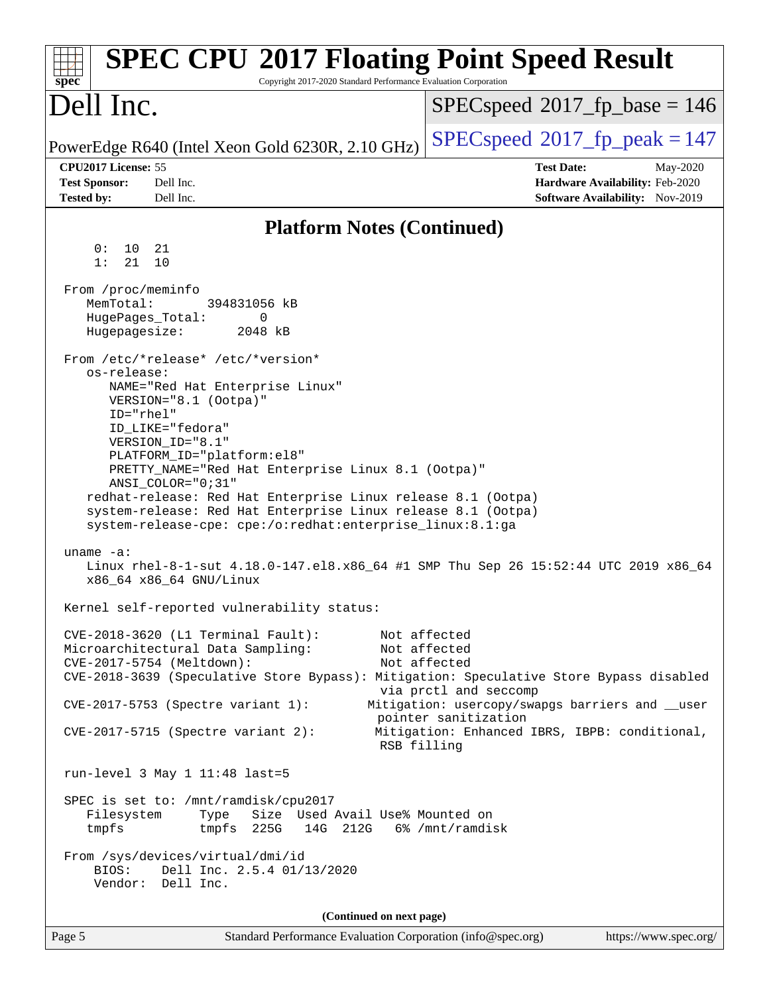| <b>SPEC CPU®2017 Floating Point Speed Result</b><br>Copyright 2017-2020 Standard Performance Evaluation Corporation<br>spec <sup>®</sup>                                                                                                                                                                                                                                                                                                                                       |                                                                                                                                                                                                   |
|--------------------------------------------------------------------------------------------------------------------------------------------------------------------------------------------------------------------------------------------------------------------------------------------------------------------------------------------------------------------------------------------------------------------------------------------------------------------------------|---------------------------------------------------------------------------------------------------------------------------------------------------------------------------------------------------|
| Dell Inc.                                                                                                                                                                                                                                                                                                                                                                                                                                                                      | $SPEC speed^{\circ}2017\_fp\_base = 146$                                                                                                                                                          |
| PowerEdge R640 (Intel Xeon Gold 6230R, 2.10 GHz)                                                                                                                                                                                                                                                                                                                                                                                                                               | $SPEC speed^{\circ}2017$ _fp_peak = 147                                                                                                                                                           |
| CPU2017 License: 55<br><b>Test Sponsor:</b><br>Dell Inc.<br>Dell Inc.<br><b>Tested by:</b>                                                                                                                                                                                                                                                                                                                                                                                     | <b>Test Date:</b><br>May-2020<br>Hardware Availability: Feb-2020<br><b>Software Availability:</b> Nov-2019                                                                                        |
| <b>Platform Notes (Continued)</b>                                                                                                                                                                                                                                                                                                                                                                                                                                              |                                                                                                                                                                                                   |
| 0 :<br>10<br>21<br>1:<br>21<br>10                                                                                                                                                                                                                                                                                                                                                                                                                                              |                                                                                                                                                                                                   |
| From /proc/meminfo<br>MemTotal:<br>394831056 kB<br>HugePages_Total:<br>0<br>Hugepagesize:<br>2048 kB                                                                                                                                                                                                                                                                                                                                                                           |                                                                                                                                                                                                   |
| From /etc/*release* /etc/*version*<br>os-release:<br>NAME="Red Hat Enterprise Linux"<br>VERSION="8.1 (Ootpa)"<br>ID="rhel"<br>ID LIKE="fedora"<br>VERSION_ID="8.1"<br>PLATFORM_ID="platform:el8"<br>PRETTY_NAME="Red Hat Enterprise Linux 8.1 (Ootpa)"<br>$ANSI\_COLOR = "0; 31"$<br>redhat-release: Red Hat Enterprise Linux release 8.1 (Ootpa)<br>system-release: Red Hat Enterprise Linux release 8.1 (Ootpa)<br>system-release-cpe: cpe:/o:redhat:enterprise_linux:8.1:ga |                                                                                                                                                                                                   |
| uname $-a$ :<br>Linux rhel-8-1-sut 4.18.0-147.el8.x86_64 #1 SMP Thu Sep 26 15:52:44 UTC 2019 x86_64<br>x86_64 x86_64 GNU/Linux                                                                                                                                                                                                                                                                                                                                                 |                                                                                                                                                                                                   |
| Kernel self-reported vulnerability status:                                                                                                                                                                                                                                                                                                                                                                                                                                     |                                                                                                                                                                                                   |
| CVE-2018-3620 (L1 Terminal Fault):<br>Microarchitectural Data Sampling:<br>CVE-2017-5754 (Meltdown):<br>CVE-2018-3639 (Speculative Store Bypass): Mitigation: Speculative Store Bypass disabled<br>CVE-2017-5753 (Spectre variant 1):<br>$CVE-2017-5715$ (Spectre variant 2):<br>RSB filling                                                                                                                                                                                   | Not affected<br>Not affected<br>Not affected<br>via prctl and seccomp<br>Mitigation: usercopy/swapgs barriers and __user<br>pointer sanitization<br>Mitigation: Enhanced IBRS, IBPB: conditional, |
| run-level 3 May 1 11:48 last=5                                                                                                                                                                                                                                                                                                                                                                                                                                                 |                                                                                                                                                                                                   |
| SPEC is set to: /mnt/ramdisk/cpu2017<br>Size Used Avail Use% Mounted on<br>Filesystem<br>Type<br>tmpfs 225G<br>tmpfs<br>14G 212G 6% / mnt/ramdisk<br>From /sys/devices/virtual/dmi/id<br>Dell Inc. 2.5.4 01/13/2020<br>BIOS:<br>Vendor: Dell Inc.                                                                                                                                                                                                                              |                                                                                                                                                                                                   |
| (Continued on next page)                                                                                                                                                                                                                                                                                                                                                                                                                                                       |                                                                                                                                                                                                   |
| Standard Performance Evaluation Corporation (info@spec.org)<br>Page 5                                                                                                                                                                                                                                                                                                                                                                                                          | https://www.spec.org/                                                                                                                                                                             |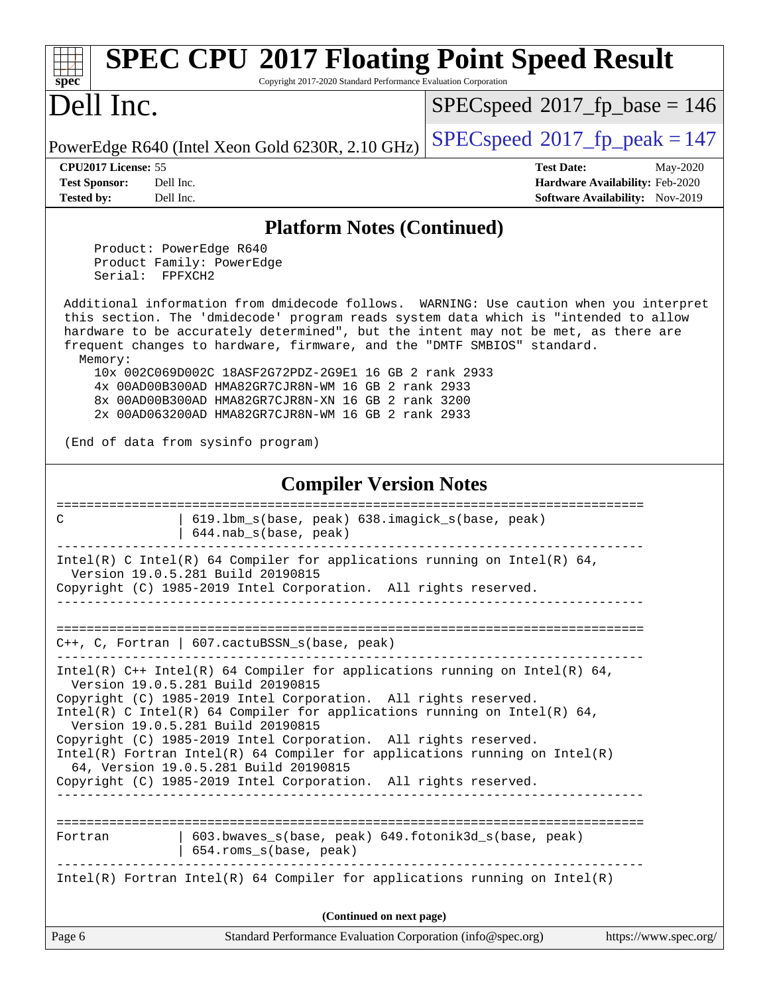| <b>SPEC CPU®2017 Floating Point Speed Result</b><br>Copyright 2017-2020 Standard Performance Evaluation Corporation<br>$\mathbf{Spec}^*$                                                                                                                                                                                                                  |                                                                    |  |  |  |
|-----------------------------------------------------------------------------------------------------------------------------------------------------------------------------------------------------------------------------------------------------------------------------------------------------------------------------------------------------------|--------------------------------------------------------------------|--|--|--|
| Dell Inc.                                                                                                                                                                                                                                                                                                                                                 | $SPEC speed^{\circ}2017\_fp\_base = 146$                           |  |  |  |
| PowerEdge R640 (Intel Xeon Gold 6230R, 2.10 GHz)                                                                                                                                                                                                                                                                                                          | $SPEC speed^{\circ}2017$ fp peak = 147                             |  |  |  |
| CPU2017 License: 55                                                                                                                                                                                                                                                                                                                                       | <b>Test Date:</b><br>May-2020                                      |  |  |  |
| <b>Test Sponsor:</b><br>Dell Inc.<br>Dell Inc.<br><b>Tested by:</b>                                                                                                                                                                                                                                                                                       | Hardware Availability: Feb-2020<br>Software Availability: Nov-2019 |  |  |  |
|                                                                                                                                                                                                                                                                                                                                                           |                                                                    |  |  |  |
| <b>Platform Notes (Continued)</b>                                                                                                                                                                                                                                                                                                                         |                                                                    |  |  |  |
| Product: PowerEdge R640<br>Product Family: PowerEdge<br>Serial:<br>FPFXCH2                                                                                                                                                                                                                                                                                |                                                                    |  |  |  |
| Additional information from dmidecode follows. WARNING: Use caution when you interpret<br>this section. The 'dmidecode' program reads system data which is "intended to allow<br>hardware to be accurately determined", but the intent may not be met, as there are<br>frequent changes to hardware, firmware, and the "DMTF SMBIOS" standard.<br>Memory: |                                                                    |  |  |  |
| 10x 002C069D002C 18ASF2G72PDZ-2G9E1 16 GB 2 rank 2933<br>4x 00AD00B300AD HMA82GR7CJR8N-WM 16 GB 2 rank 2933<br>8x 00AD00B300AD HMA82GR7CJR8N-XN 16 GB 2 rank 3200<br>2x 00AD063200AD HMA82GR7CJR8N-WM 16 GB 2 rank 2933                                                                                                                                   |                                                                    |  |  |  |
| (End of data from sysinfo program)                                                                                                                                                                                                                                                                                                                        |                                                                    |  |  |  |
| <b>Compiler Version Notes</b>                                                                                                                                                                                                                                                                                                                             |                                                                    |  |  |  |
| 619.1bm_s(base, peak) 638.imagick_s(base, peak)<br>C<br>644.nab_s(base, peak)                                                                                                                                                                                                                                                                             |                                                                    |  |  |  |
| Intel(R) C Intel(R) 64 Compiler for applications running on Intel(R) 64,<br>Version 19.0.5.281 Build 20190815<br>Copyright (C) 1985-2019 Intel Corporation. All rights reserved.                                                                                                                                                                          |                                                                    |  |  |  |
|                                                                                                                                                                                                                                                                                                                                                           |                                                                    |  |  |  |
| $C++$ , C, Fortran   607. cactuBSSN s(base, peak)                                                                                                                                                                                                                                                                                                         |                                                                    |  |  |  |
| Intel(R) $C++$ Intel(R) 64 Compiler for applications running on Intel(R) 64,<br>Version 19.0.5.281 Build 20190815                                                                                                                                                                                                                                         |                                                                    |  |  |  |
| Copyright (C) 1985-2019 Intel Corporation. All rights reserved.<br>Intel(R) C Intel(R) 64 Compiler for applications running on Intel(R) 64,<br>Version 19.0.5.281 Build 20190815                                                                                                                                                                          |                                                                    |  |  |  |
| Copyright (C) 1985-2019 Intel Corporation. All rights reserved.<br>$Intel(R)$ Fortran Intel(R) 64 Compiler for applications running on Intel(R)<br>64, Version 19.0.5.281 Build 20190815                                                                                                                                                                  |                                                                    |  |  |  |
| Copyright (C) 1985-2019 Intel Corporation. All rights reserved.<br>_________________                                                                                                                                                                                                                                                                      |                                                                    |  |  |  |
| ------------------------------<br>603.bwaves_s(base, peak) 649.fotonik3d_s(base, peak)<br>Fortran<br>654.roms_s(base, peak)                                                                                                                                                                                                                               |                                                                    |  |  |  |
| $Intel(R)$ Fortran Intel(R) 64 Compiler for applications running on Intel(R)                                                                                                                                                                                                                                                                              |                                                                    |  |  |  |
| (Continued on next page)                                                                                                                                                                                                                                                                                                                                  |                                                                    |  |  |  |
| Standard Performance Evaluation Corporation (info@spec.org)<br>Page 6                                                                                                                                                                                                                                                                                     | https://www.spec.org/                                              |  |  |  |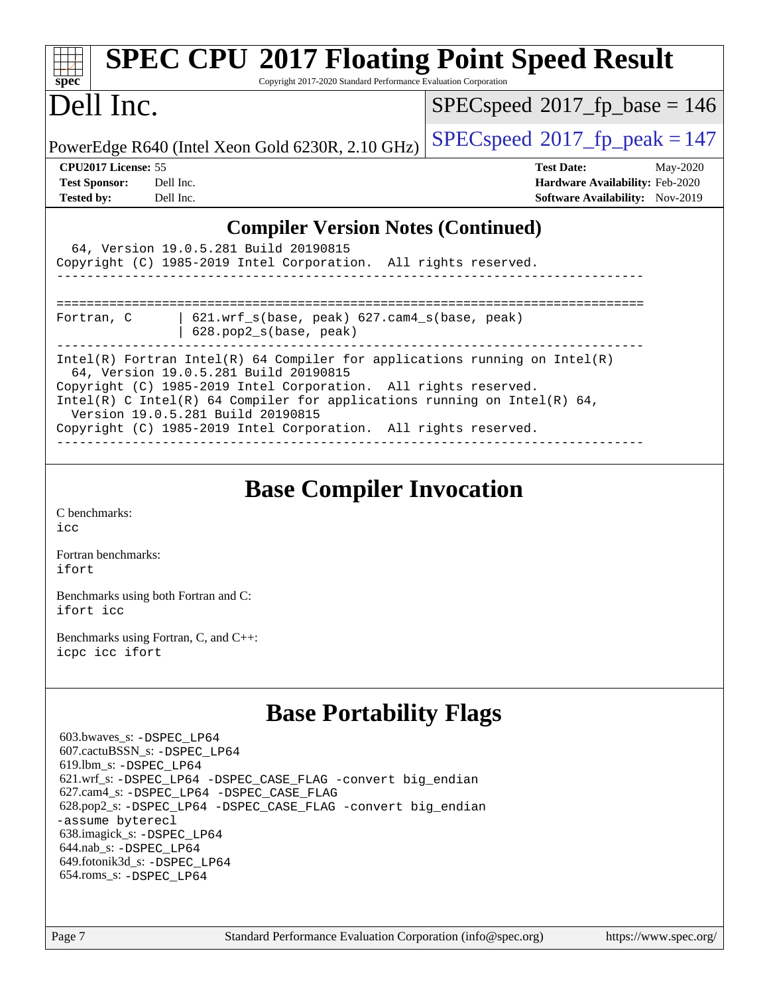| spec                       | <b>SPEC CPU®2017 Floating Point Speed Result</b><br>Copyright 2017-2020 Standard Performance Evaluation Corporation                                   |                                          |
|----------------------------|-------------------------------------------------------------------------------------------------------------------------------------------------------|------------------------------------------|
| Dell Inc.                  |                                                                                                                                                       | $SPEC speed^{\circ}2017\_fp\_base = 146$ |
|                            | PowerEdge R640 (Intel Xeon Gold 6230R, 2.10 GHz)                                                                                                      | $SPEC speed^{\circ}2017$ fp peak = 147   |
| <b>CPU2017 License: 55</b> |                                                                                                                                                       | <b>Test Date:</b><br>May-2020            |
| <b>Test Sponsor:</b>       | Dell Inc.                                                                                                                                             | <b>Hardware Availability: Feb-2020</b>   |
| <b>Tested by:</b>          | Dell Inc.                                                                                                                                             | <b>Software Availability:</b> Nov-2019   |
|                            | <b>Compiler Version Notes (Continued)</b><br>64, Version 19.0.5.281 Build 20190815<br>Copyright (C) 1985-2019 Intel Corporation. All rights reserved. |                                          |
| Fortran, C                 | $621.wrf$ s(base, peak) $627.cam4$ s(base, peak)<br>628.pop2_s(base, peak)                                                                            |                                          |

| <b>Base Compiler Invocation</b> |  |
|---------------------------------|--|

Intel(R) Fortran Intel(R) 64 Compiler for applications running on Intel(R)

Intel(R) C Intel(R) 64 Compiler for applications running on Intel(R)  $64$ ,

------------------------------------------------------------------------------

Copyright (C) 1985-2019 Intel Corporation. All rights reserved.

Copyright (C) 1985-2019 Intel Corporation. All rights reserved.

------------------------------------------------------------------------------

[C benchmarks](http://www.spec.org/auto/cpu2017/Docs/result-fields.html#Cbenchmarks): [icc](http://www.spec.org/cpu2017/results/res2020q2/cpu2017-20200511-22410.flags.html#user_CCbase_intel_icc_66fc1ee009f7361af1fbd72ca7dcefbb700085f36577c54f309893dd4ec40d12360134090235512931783d35fd58c0460139e722d5067c5574d8eaf2b3e37e92)

[Fortran benchmarks](http://www.spec.org/auto/cpu2017/Docs/result-fields.html#Fortranbenchmarks): [ifort](http://www.spec.org/cpu2017/results/res2020q2/cpu2017-20200511-22410.flags.html#user_FCbase_intel_ifort_8111460550e3ca792625aed983ce982f94888b8b503583aa7ba2b8303487b4d8a21a13e7191a45c5fd58ff318f48f9492884d4413fa793fd88dd292cad7027ca)

[Benchmarks using both Fortran and C](http://www.spec.org/auto/cpu2017/Docs/result-fields.html#BenchmarksusingbothFortranandC): [ifort](http://www.spec.org/cpu2017/results/res2020q2/cpu2017-20200511-22410.flags.html#user_CC_FCbase_intel_ifort_8111460550e3ca792625aed983ce982f94888b8b503583aa7ba2b8303487b4d8a21a13e7191a45c5fd58ff318f48f9492884d4413fa793fd88dd292cad7027ca) [icc](http://www.spec.org/cpu2017/results/res2020q2/cpu2017-20200511-22410.flags.html#user_CC_FCbase_intel_icc_66fc1ee009f7361af1fbd72ca7dcefbb700085f36577c54f309893dd4ec40d12360134090235512931783d35fd58c0460139e722d5067c5574d8eaf2b3e37e92)

64, Version 19.0.5.281 Build 20190815

Version 19.0.5.281 Build 20190815

[Benchmarks using Fortran, C, and C++:](http://www.spec.org/auto/cpu2017/Docs/result-fields.html#BenchmarksusingFortranCandCXX) [icpc](http://www.spec.org/cpu2017/results/res2020q2/cpu2017-20200511-22410.flags.html#user_CC_CXX_FCbase_intel_icpc_c510b6838c7f56d33e37e94d029a35b4a7bccf4766a728ee175e80a419847e808290a9b78be685c44ab727ea267ec2f070ec5dc83b407c0218cded6866a35d07) [icc](http://www.spec.org/cpu2017/results/res2020q2/cpu2017-20200511-22410.flags.html#user_CC_CXX_FCbase_intel_icc_66fc1ee009f7361af1fbd72ca7dcefbb700085f36577c54f309893dd4ec40d12360134090235512931783d35fd58c0460139e722d5067c5574d8eaf2b3e37e92) [ifort](http://www.spec.org/cpu2017/results/res2020q2/cpu2017-20200511-22410.flags.html#user_CC_CXX_FCbase_intel_ifort_8111460550e3ca792625aed983ce982f94888b8b503583aa7ba2b8303487b4d8a21a13e7191a45c5fd58ff318f48f9492884d4413fa793fd88dd292cad7027ca)

## **[Base Portability Flags](http://www.spec.org/auto/cpu2017/Docs/result-fields.html#BasePortabilityFlags)**

 603.bwaves\_s: [-DSPEC\\_LP64](http://www.spec.org/cpu2017/results/res2020q2/cpu2017-20200511-22410.flags.html#suite_basePORTABILITY603_bwaves_s_DSPEC_LP64) 607.cactuBSSN\_s: [-DSPEC\\_LP64](http://www.spec.org/cpu2017/results/res2020q2/cpu2017-20200511-22410.flags.html#suite_basePORTABILITY607_cactuBSSN_s_DSPEC_LP64) 619.lbm\_s: [-DSPEC\\_LP64](http://www.spec.org/cpu2017/results/res2020q2/cpu2017-20200511-22410.flags.html#suite_basePORTABILITY619_lbm_s_DSPEC_LP64) 621.wrf\_s: [-DSPEC\\_LP64](http://www.spec.org/cpu2017/results/res2020q2/cpu2017-20200511-22410.flags.html#suite_basePORTABILITY621_wrf_s_DSPEC_LP64) [-DSPEC\\_CASE\\_FLAG](http://www.spec.org/cpu2017/results/res2020q2/cpu2017-20200511-22410.flags.html#b621.wrf_s_baseCPORTABILITY_DSPEC_CASE_FLAG) [-convert big\\_endian](http://www.spec.org/cpu2017/results/res2020q2/cpu2017-20200511-22410.flags.html#user_baseFPORTABILITY621_wrf_s_convert_big_endian_c3194028bc08c63ac5d04de18c48ce6d347e4e562e8892b8bdbdc0214820426deb8554edfa529a3fb25a586e65a3d812c835984020483e7e73212c4d31a38223) 627.cam4\_s: [-DSPEC\\_LP64](http://www.spec.org/cpu2017/results/res2020q2/cpu2017-20200511-22410.flags.html#suite_basePORTABILITY627_cam4_s_DSPEC_LP64) [-DSPEC\\_CASE\\_FLAG](http://www.spec.org/cpu2017/results/res2020q2/cpu2017-20200511-22410.flags.html#b627.cam4_s_baseCPORTABILITY_DSPEC_CASE_FLAG) 628.pop2\_s: [-DSPEC\\_LP64](http://www.spec.org/cpu2017/results/res2020q2/cpu2017-20200511-22410.flags.html#suite_basePORTABILITY628_pop2_s_DSPEC_LP64) [-DSPEC\\_CASE\\_FLAG](http://www.spec.org/cpu2017/results/res2020q2/cpu2017-20200511-22410.flags.html#b628.pop2_s_baseCPORTABILITY_DSPEC_CASE_FLAG) [-convert big\\_endian](http://www.spec.org/cpu2017/results/res2020q2/cpu2017-20200511-22410.flags.html#user_baseFPORTABILITY628_pop2_s_convert_big_endian_c3194028bc08c63ac5d04de18c48ce6d347e4e562e8892b8bdbdc0214820426deb8554edfa529a3fb25a586e65a3d812c835984020483e7e73212c4d31a38223) [-assume byterecl](http://www.spec.org/cpu2017/results/res2020q2/cpu2017-20200511-22410.flags.html#user_baseFPORTABILITY628_pop2_s_assume_byterecl_7e47d18b9513cf18525430bbf0f2177aa9bf368bc7a059c09b2c06a34b53bd3447c950d3f8d6c70e3faf3a05c8557d66a5798b567902e8849adc142926523472) 638.imagick\_s: [-DSPEC\\_LP64](http://www.spec.org/cpu2017/results/res2020q2/cpu2017-20200511-22410.flags.html#suite_basePORTABILITY638_imagick_s_DSPEC_LP64) 644.nab\_s: [-DSPEC\\_LP64](http://www.spec.org/cpu2017/results/res2020q2/cpu2017-20200511-22410.flags.html#suite_basePORTABILITY644_nab_s_DSPEC_LP64) 649.fotonik3d\_s: [-DSPEC\\_LP64](http://www.spec.org/cpu2017/results/res2020q2/cpu2017-20200511-22410.flags.html#suite_basePORTABILITY649_fotonik3d_s_DSPEC_LP64) 654.roms\_s: [-DSPEC\\_LP64](http://www.spec.org/cpu2017/results/res2020q2/cpu2017-20200511-22410.flags.html#suite_basePORTABILITY654_roms_s_DSPEC_LP64)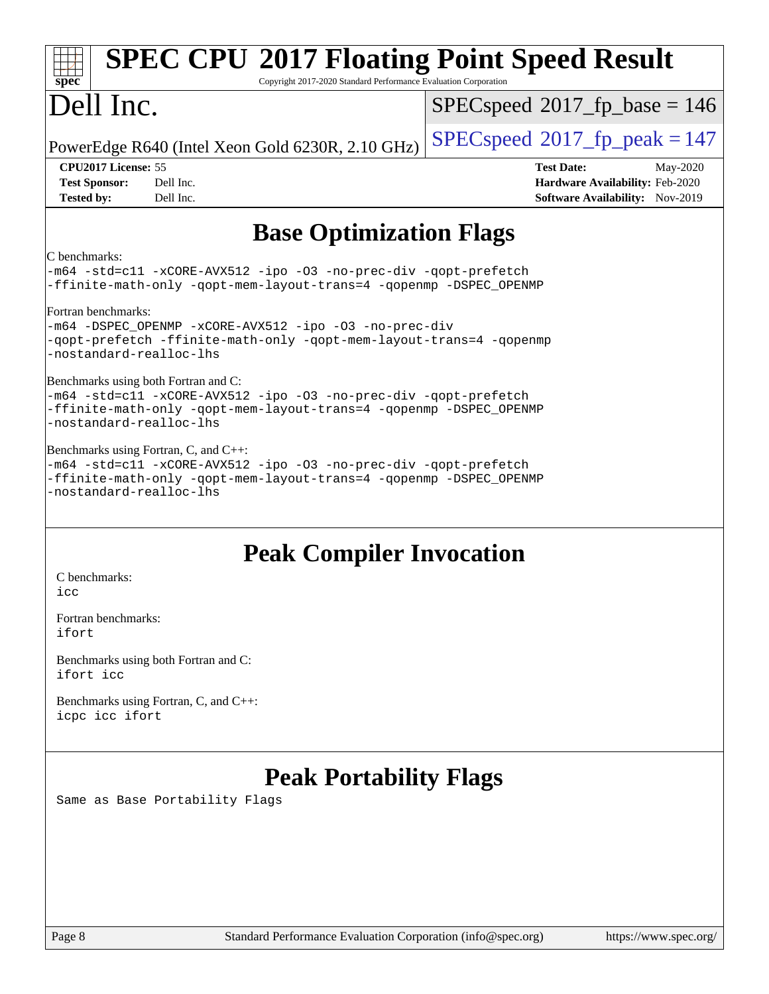| <b>SPEC CPU®2017 Floating Point Speed Result</b><br>spec <sup>®</sup><br>Copyright 2017-2020 Standard Performance Evaluation Corporation                                                                   |                                                                                                            |
|------------------------------------------------------------------------------------------------------------------------------------------------------------------------------------------------------------|------------------------------------------------------------------------------------------------------------|
| Dell Inc.                                                                                                                                                                                                  | $SPEC speed^{\circ}2017\_fp\_base = 146$                                                                   |
| PowerEdge R640 (Intel Xeon Gold 6230R, 2.10 GHz)                                                                                                                                                           | $SPEC speed^{\circ}2017$ _fp_peak = 147                                                                    |
| <b>CPU2017 License: 55</b><br>Dell Inc.<br><b>Test Sponsor:</b><br>Dell Inc.<br><b>Tested by:</b>                                                                                                          | <b>Test Date:</b><br>May-2020<br>Hardware Availability: Feb-2020<br><b>Software Availability:</b> Nov-2019 |
| <b>Base Optimization Flags</b>                                                                                                                                                                             |                                                                                                            |
| C benchmarks:<br>-m64 -std=cll -xCORE-AVX512 -ipo -03 -no-prec-div -qopt-prefetch<br>-ffinite-math-only -qopt-mem-layout-trans=4 -qopenmp -DSPEC_OPENMP                                                    |                                                                                                            |
| Fortran benchmarks:<br>-m64 -DSPEC_OPENMP -xCORE-AVX512 -ipo -03 -no-prec-div<br>-qopt-prefetch -ffinite-math-only -qopt-mem-layout-trans=4 -qopenmp<br>-nostandard-realloc-lhs                            |                                                                                                            |
| Benchmarks using both Fortran and C:<br>-m64 -std=cll -xCORE-AVX512 -ipo -03 -no-prec-div -qopt-prefetch<br>-ffinite-math-only -qopt-mem-layout-trans=4 -qopenmp -DSPEC_OPENMP<br>-nostandard-realloc-lhs  |                                                                                                            |
| Benchmarks using Fortran, C, and C++:<br>-m64 -std=cll -xCORE-AVX512 -ipo -03 -no-prec-div -qopt-prefetch<br>-ffinite-math-only -qopt-mem-layout-trans=4 -qopenmp -DSPEC_OPENMP<br>-nostandard-realloc-lhs |                                                                                                            |
| <b>Peak Compiler Invocation</b><br>C benchmarks:<br>icc                                                                                                                                                    |                                                                                                            |
| Fortran benchmarks:<br>ifort                                                                                                                                                                               |                                                                                                            |

[Benchmarks using both Fortran and C](http://www.spec.org/auto/cpu2017/Docs/result-fields.html#BenchmarksusingbothFortranandC): [ifort](http://www.spec.org/cpu2017/results/res2020q2/cpu2017-20200511-22410.flags.html#user_CC_FCpeak_intel_ifort_8111460550e3ca792625aed983ce982f94888b8b503583aa7ba2b8303487b4d8a21a13e7191a45c5fd58ff318f48f9492884d4413fa793fd88dd292cad7027ca) [icc](http://www.spec.org/cpu2017/results/res2020q2/cpu2017-20200511-22410.flags.html#user_CC_FCpeak_intel_icc_66fc1ee009f7361af1fbd72ca7dcefbb700085f36577c54f309893dd4ec40d12360134090235512931783d35fd58c0460139e722d5067c5574d8eaf2b3e37e92)

[Benchmarks using Fortran, C, and C++:](http://www.spec.org/auto/cpu2017/Docs/result-fields.html#BenchmarksusingFortranCandCXX) [icpc](http://www.spec.org/cpu2017/results/res2020q2/cpu2017-20200511-22410.flags.html#user_CC_CXX_FCpeak_intel_icpc_c510b6838c7f56d33e37e94d029a35b4a7bccf4766a728ee175e80a419847e808290a9b78be685c44ab727ea267ec2f070ec5dc83b407c0218cded6866a35d07) [icc](http://www.spec.org/cpu2017/results/res2020q2/cpu2017-20200511-22410.flags.html#user_CC_CXX_FCpeak_intel_icc_66fc1ee009f7361af1fbd72ca7dcefbb700085f36577c54f309893dd4ec40d12360134090235512931783d35fd58c0460139e722d5067c5574d8eaf2b3e37e92) [ifort](http://www.spec.org/cpu2017/results/res2020q2/cpu2017-20200511-22410.flags.html#user_CC_CXX_FCpeak_intel_ifort_8111460550e3ca792625aed983ce982f94888b8b503583aa7ba2b8303487b4d8a21a13e7191a45c5fd58ff318f48f9492884d4413fa793fd88dd292cad7027ca)

# **[Peak Portability Flags](http://www.spec.org/auto/cpu2017/Docs/result-fields.html#PeakPortabilityFlags)**

Same as Base Portability Flags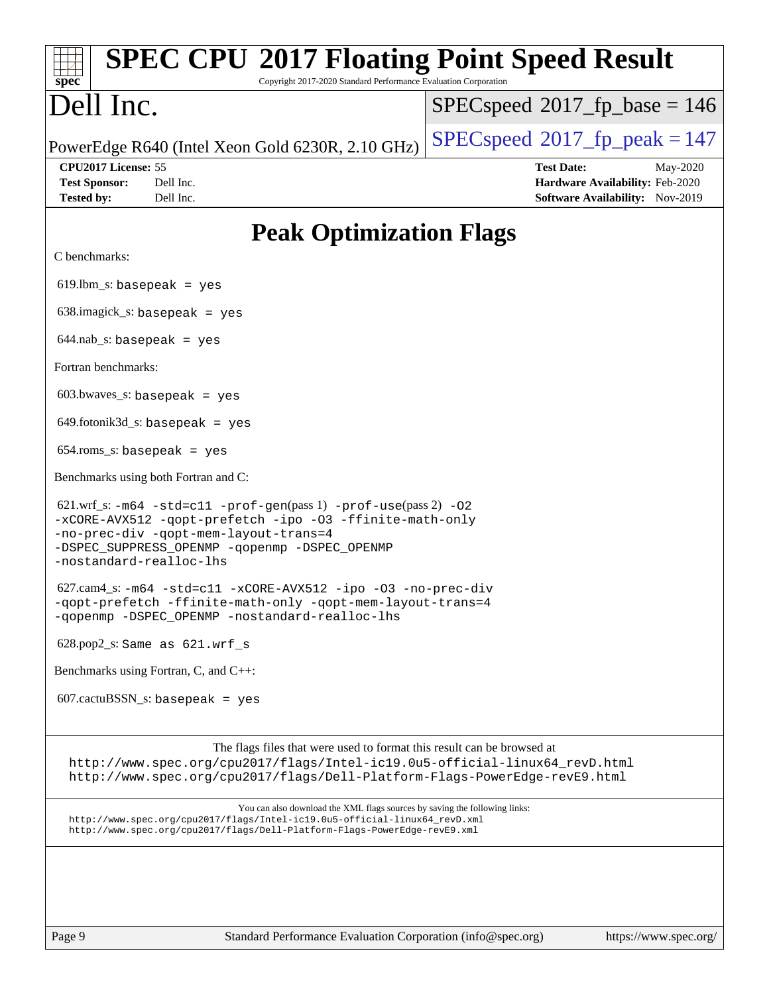| <b>SPEC CPU®2017 Floating Point Speed Result</b><br>spec <sup>®</sup><br>Copyright 2017-2020 Standard Performance Evaluation Corporation                                                                                                                                                                                                                                                                                                                                                                                                                                                                                                                                                                   |                                                                                                     |
|------------------------------------------------------------------------------------------------------------------------------------------------------------------------------------------------------------------------------------------------------------------------------------------------------------------------------------------------------------------------------------------------------------------------------------------------------------------------------------------------------------------------------------------------------------------------------------------------------------------------------------------------------------------------------------------------------------|-----------------------------------------------------------------------------------------------------|
| Dell Inc.                                                                                                                                                                                                                                                                                                                                                                                                                                                                                                                                                                                                                                                                                                  | $SPEC speed^{\circ}2017\_fp\_base = 146$                                                            |
| PowerEdge R640 (Intel Xeon Gold 6230R, 2.10 GHz)<br>CPU2017 License: 55<br><b>Test Sponsor:</b><br>Dell Inc.<br><b>Tested by:</b><br>Dell Inc.<br>C benchmarks:<br>$619.$ lbm_s: basepeak = yes<br>$638.\text{imagick_s: basepeak}$ = yes<br>$644.nab_s$ : basepeak = yes<br>Fortran benchmarks:<br>$603.bwaves$ s: basepeak = yes<br>$649$ .fotonik $3d$ <sub>S</sub> : basepeak = yes<br>$654$ .roms_s: basepeak = yes<br>Benchmarks using both Fortran and C:<br>-no-prec-div -qopt-mem-layout-trans=4<br>-DSPEC_SUPPRESS_OPENMP -qopenmp -DSPEC_OPENMP<br>-nostandard-realloc-lhs<br>$628.pop2_s$ : Same as $621.wrf_s$<br>Benchmarks using Fortran, C, and C++:<br>$607.cactuBSSN_s$ : basepeak = yes | $SPEC speed^{\circ}2017$ fp peak = 147                                                              |
|                                                                                                                                                                                                                                                                                                                                                                                                                                                                                                                                                                                                                                                                                                            | <b>Test Date:</b><br>May-2020<br>Hardware Availability: Feb-2020<br>Software Availability: Nov-2019 |
| <b>Peak Optimization Flags</b>                                                                                                                                                                                                                                                                                                                                                                                                                                                                                                                                                                                                                                                                             |                                                                                                     |
|                                                                                                                                                                                                                                                                                                                                                                                                                                                                                                                                                                                                                                                                                                            |                                                                                                     |
|                                                                                                                                                                                                                                                                                                                                                                                                                                                                                                                                                                                                                                                                                                            |                                                                                                     |
|                                                                                                                                                                                                                                                                                                                                                                                                                                                                                                                                                                                                                                                                                                            |                                                                                                     |
|                                                                                                                                                                                                                                                                                                                                                                                                                                                                                                                                                                                                                                                                                                            |                                                                                                     |
|                                                                                                                                                                                                                                                                                                                                                                                                                                                                                                                                                                                                                                                                                                            |                                                                                                     |
|                                                                                                                                                                                                                                                                                                                                                                                                                                                                                                                                                                                                                                                                                                            |                                                                                                     |
|                                                                                                                                                                                                                                                                                                                                                                                                                                                                                                                                                                                                                                                                                                            |                                                                                                     |
|                                                                                                                                                                                                                                                                                                                                                                                                                                                                                                                                                                                                                                                                                                            |                                                                                                     |
|                                                                                                                                                                                                                                                                                                                                                                                                                                                                                                                                                                                                                                                                                                            |                                                                                                     |
| 621.wrf_s: -m64 -std=c11 -prof-gen(pass 1) -prof-use(pass 2) -02<br>-xCORE-AVX512 -qopt-prefetch -ipo -03 -ffinite-math-only                                                                                                                                                                                                                                                                                                                                                                                                                                                                                                                                                                               |                                                                                                     |
| 627.cam4_s: -m64 -std=c11 -xCORE-AVX512 -ipo -03 -no-prec-div<br>-qopt-prefetch -ffinite-math-only -qopt-mem-layout-trans=4<br>-qopenmp -DSPEC_OPENMP -nostandard-realloc-lhs                                                                                                                                                                                                                                                                                                                                                                                                                                                                                                                              |                                                                                                     |
|                                                                                                                                                                                                                                                                                                                                                                                                                                                                                                                                                                                                                                                                                                            |                                                                                                     |
|                                                                                                                                                                                                                                                                                                                                                                                                                                                                                                                                                                                                                                                                                                            |                                                                                                     |
|                                                                                                                                                                                                                                                                                                                                                                                                                                                                                                                                                                                                                                                                                                            |                                                                                                     |
| The flags files that were used to format this result can be browsed at<br>http://www.spec.org/cpu2017/flags/Intel-ic19.0u5-official-linux64_revD.html<br>http://www.spec.org/cpu2017/flags/Dell-Platform-Flags-PowerEdge-revE9.html                                                                                                                                                                                                                                                                                                                                                                                                                                                                        |                                                                                                     |
| You can also download the XML flags sources by saving the following links:<br>http://www.spec.org/cpu2017/flags/Intel-ic19.0u5-official-linux64_revD.xml<br>http://www.spec.org/cpu2017/flags/Dell-Platform-Flags-PowerEdge-revE9.xml                                                                                                                                                                                                                                                                                                                                                                                                                                                                      |                                                                                                     |
|                                                                                                                                                                                                                                                                                                                                                                                                                                                                                                                                                                                                                                                                                                            |                                                                                                     |